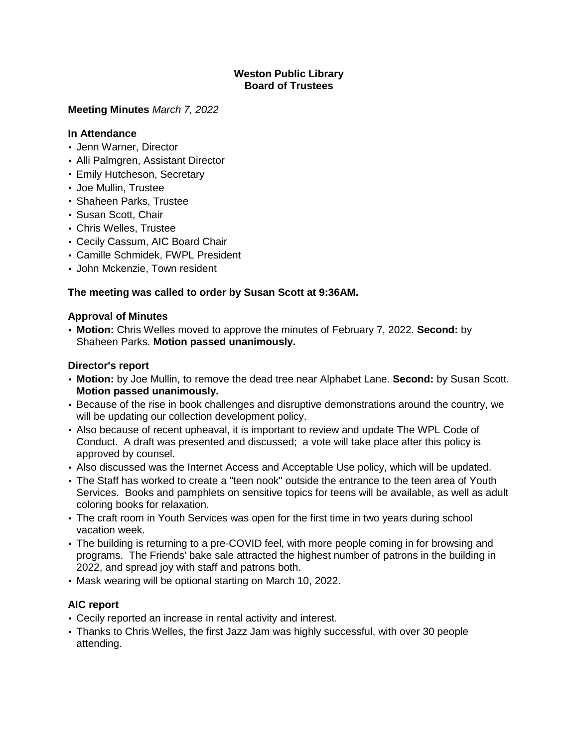## **Weston Public Library Board of Trustees**

## **Meeting Minutes** *March 7, 2022*

## **In Attendance**

- Jenn Warner, Director
- Alli Palmgren, Assistant Director
- Emily Hutcheson, Secretary
- Joe Mullin, Trustee
- Shaheen Parks, Trustee
- Susan Scott, Chair
- Chris Welles, Trustee
- Cecily Cassum, AIC Board Chair
- Camille Schmidek, FWPL President
- John Mckenzie, Town resident

# **The meeting was called to order by Susan Scott at 9:36AM.**

## **Approval of Minutes**

**• Motion:** Chris Welles moved to approve the minutes of February 7, 2022. **Second:** by Shaheen Parks. **Motion passed unanimously.**

## **Director's report**

- **Motion:** by Joe Mullin, to remove the dead tree near Alphabet Lane. **Second:** by Susan Scott. **Motion passed unanimously.**
- Because of the rise in book challenges and disruptive demonstrations around the country, we will be updating our collection development policy.
- Also because of recent upheaval, it is important to review and update The WPL Code of Conduct. A draft was presented and discussed; a vote will take place after this policy is approved by counsel.
- Also discussed was the Internet Access and Acceptable Use policy, which will be updated.
- The Staff has worked to create a "teen nook" outside the entrance to the teen area of Youth Services. Books and pamphlets on sensitive topics for teens will be available, as well as adult coloring books for relaxation.
- The craft room in Youth Services was open for the first time in two years during school vacation week.
- The building is returning to a pre-COVID feel, with more people coming in for browsing and programs. The Friends' bake sale attracted the highest number of patrons in the building in 2022, and spread joy with staff and patrons both.
- Mask wearing will be optional starting on March 10, 2022.

# **AIC report**

- Cecily reported an increase in rental activity and interest.
- Thanks to Chris Welles, the first Jazz Jam was highly successful, with over 30 people attending.